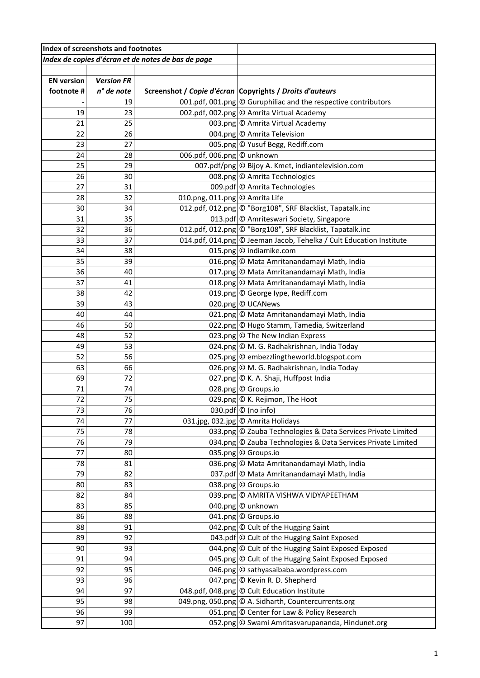| Index of screenshots and footnotes                 |                   |                                |                                                                     |
|----------------------------------------------------|-------------------|--------------------------------|---------------------------------------------------------------------|
| Index de copies d'écran et de notes de bas de page |                   |                                |                                                                     |
|                                                    |                   |                                |                                                                     |
| <b>EN version</b>                                  | <b>Version FR</b> |                                |                                                                     |
| footnote #                                         | n° de note        |                                | Screenshot / Copie d'écran Copyrights / Droits d'auteurs            |
|                                                    | 19                |                                | 001.pdf, 001.png © Guruphiliac and the respective contributors      |
| 19                                                 | 23                |                                | 002.pdf, 002.png © Amrita Virtual Academy                           |
| 21                                                 | 25                |                                | 003.png © Amrita Virtual Academy                                    |
| 22                                                 | 26                |                                | 004.png © Amrita Television                                         |
| 23                                                 | 27                |                                | 005.png © Yusuf Begg, Rediff.com                                    |
| 24                                                 | 28                | 006.pdf, 006.png © unknown     |                                                                     |
| 25                                                 | 29                |                                | 007.pdf/png © Bijoy A. Kmet, indiantelevision.com                   |
| 26                                                 | 30                |                                | 008.png © Amrita Technologies                                       |
| 27                                                 | 31                |                                | 009.pdf © Amrita Technologies                                       |
| 28                                                 | 32                | 010.png, 011.png © Amrita Life |                                                                     |
| 30                                                 | 34                |                                | 012.pdf, 012.png © "Borg108", SRF Blacklist, Tapatalk.inc           |
| 31                                                 | 35                |                                | 013.pdf © Amriteswari Society, Singapore                            |
| 32                                                 | 36                |                                | 012.pdf, 012.png © "Borg108", SRF Blacklist, Tapatalk.inc           |
| 33                                                 | 37                |                                | 014.pdf, 014.png © Jeeman Jacob, Tehelka / Cult Education Institute |
| 34                                                 | 38                |                                | 015.png $\circ$ indiamike.com                                       |
| 35                                                 | 39                |                                | 016.png © Mata Amritanandamayi Math, India                          |
| 36                                                 | 40                |                                | 017.png © Mata Amritanandamayi Math, India                          |
| 37                                                 | 41                |                                | 018.png © Mata Amritanandamayi Math, India                          |
| 38                                                 | 42                |                                | 019.png © George Iype, Rediff.com                                   |
| 39                                                 | 43                |                                | 020.png © UCANews                                                   |
| 40                                                 | 44                |                                | 021.png © Mata Amritanandamayi Math, India                          |
| 46                                                 | 50                |                                | 022.png © Hugo Stamm, Tamedia, Switzerland                          |
| 48                                                 | 52                |                                | 023.png © The New Indian Express                                    |
| 49                                                 | 53                |                                | 024.png © M. G. Radhakrishnan, India Today                          |
| 52                                                 | 56                |                                | 025.png © embezzlingtheworld.blogspot.com                           |
| 63                                                 | 66                |                                | 026.png © M. G. Radhakrishnan, India Today                          |
| 69                                                 | 72                |                                | 027.png © K. A. Shaji, Huffpost India                               |
| 71                                                 | 74                |                                | 028.png © Groups.io                                                 |
| 72                                                 | 75                |                                | 029.png © K. Rejimon, The Hoot                                      |
| 73<br>74                                           | 76<br>77          |                                | 030.pdf $\circ$ (no info)<br>031.jpg, 032.jpg © Amrita Holidays     |
| 75                                                 | 78                |                                | 033.png © Zauba Technologies & Data Services Private Limited        |
| 76                                                 | 79                |                                | 034.png © Zauba Technologies & Data Services Private Limited        |
| 77                                                 | 80                |                                | 035.png © Groups.io                                                 |
| 78                                                 | 81                |                                | 036.png © Mata Amritanandamayi Math, India                          |
| 79                                                 | 82                |                                | 037.pdf © Mata Amritanandamayi Math, India                          |
| 80                                                 | 83                |                                | 038.png © Groups.io                                                 |
| 82                                                 | 84                |                                | 039.png © AMRITA VISHWA VIDYAPEETHAM                                |
| 83                                                 | 85                |                                | 040.png © unknown                                                   |
| 86                                                 | 88                |                                | 041.png © Groups.io                                                 |
| 88                                                 | 91                |                                | 042.png © Cult of the Hugging Saint                                 |
| 89                                                 | 92                |                                | 043.pdf © Cult of the Hugging Saint Exposed                         |
| 90                                                 | 93                |                                | 044.png © Cult of the Hugging Saint Exposed Exposed                 |
| 91                                                 | 94                |                                | 045.png © Cult of the Hugging Saint Exposed Exposed                 |
| 92                                                 | 95                |                                | 046.png © sathyasaibaba.wordpress.com                               |
| 93                                                 | 96                |                                | 047.png © Kevin R. D. Shepherd                                      |
| 94                                                 | 97                |                                | 048.pdf, 048.png © Cult Education Institute                         |
| 95                                                 | 98                |                                | 049.png, 050.png © A. Sidharth, Countercurrents.org                 |
| 96                                                 | 99                |                                | 051.png © Center for Law & Policy Research                          |
| 97                                                 | 100               |                                | 052.png © Swami Amritasvarupananda, Hindunet.org                    |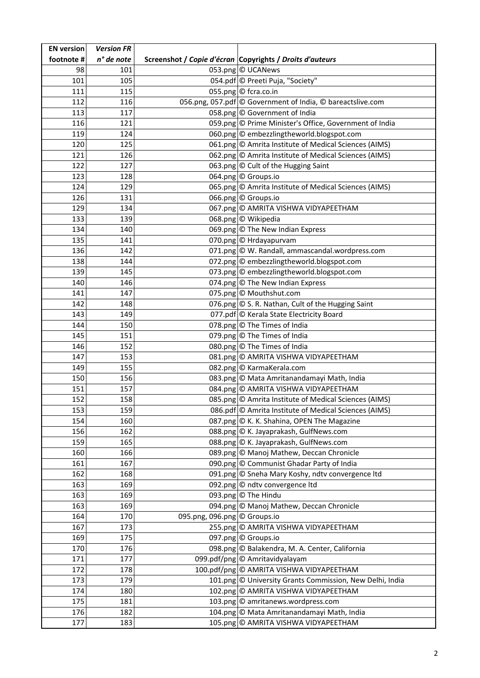| <b>EN</b> version | <b>Version FR</b> |                              |                                                            |
|-------------------|-------------------|------------------------------|------------------------------------------------------------|
| footnote #        | n° de note        |                              | Screenshot / Copie d'écran Copyrights / Droits d'auteurs   |
| 98                | 101               |                              | 053.png © UCANews                                          |
| 101               | 105               |                              | 054.pdf © Preeti Puja, "Society"                           |
| 111               | 115               |                              | 055.png © fcra.co.in                                       |
| 112               | 116               |                              | 056.png, 057.pdf © Government of India, © bareactslive.com |
| 113               | 117               |                              | 058.png © Government of India                              |
| 116               | 121               |                              | 059.png © Prime Minister's Office, Government of India     |
| 119               | 124               |                              | 060.png © embezzlingtheworld.blogspot.com                  |
| 120               | 125               |                              | 061.png © Amrita Institute of Medical Sciences (AIMS)      |
| 121               | 126               |                              | 062.png © Amrita Institute of Medical Sciences (AIMS)      |
| 122               | 127               |                              | 063.png © Cult of the Hugging Saint                        |
| 123               | 128               |                              | 064.png © Groups.io                                        |
| 124               | 129               |                              | 065.png © Amrita Institute of Medical Sciences (AIMS)      |
| 126               | 131               |                              | 066.png © Groups.io                                        |
| 129               | 134               |                              | 067.png © AMRITA VISHWA VIDYAPEETHAM                       |
| 133               | 139               |                              | 068.png © Wikipedia                                        |
| 134               | 140               |                              | 069.png $\circ$ The New Indian Express                     |
| 135               | 141               |                              | 070.png © Hrdayapurvam                                     |
| 136               | 142               |                              | 071.png © W. Randall, ammascandal.wordpress.com            |
| 138               | 144               |                              | 072.png © embezzlingtheworld.blogspot.com                  |
| 139               | 145               |                              | 073.png © embezzlingtheworld.blogspot.com                  |
| 140               | 146               |                              | 074.png © The New Indian Express                           |
| 141               | 147               |                              | 075.png © Mouthshut.com                                    |
| 142               | 148               |                              | 076.png © S. R. Nathan, Cult of the Hugging Saint          |
| 143               | 149               |                              | 077.pdf © Kerala State Electricity Board                   |
| 144               | 150               |                              | 078.png © The Times of India                               |
| 145               | 151               |                              | 079.png © The Times of India                               |
| 146               | 152               |                              | 080.png © The Times of India                               |
| 147               | 153               |                              | 081.png © AMRITA VISHWA VIDYAPEETHAM                       |
| 149               | 155               |                              | 082.png © KarmaKerala.com                                  |
| 150               | 156               |                              | 083.png © Mata Amritanandamayi Math, India                 |
| 151               | 157               |                              | 084.png © AMRITA VISHWA VIDYAPEETHAM                       |
| 152               | 158               |                              | 085.png © Amrita Institute of Medical Sciences (AIMS)      |
| 153               | 159               |                              | 086.pdf © Amrita Institute of Medical Sciences (AIMS)      |
| 154               | 160               |                              | 087.png © K. K. Shahina, OPEN The Magazine                 |
| 156               | 162               |                              | 088.png © K. Jayaprakash, GulfNews.com                     |
| 159               | 165               |                              | 088.png © K. Jayaprakash, GulfNews.com                     |
| 160               | 166               |                              | 089.png © Manoj Mathew, Deccan Chronicle                   |
| 161               | 167               |                              | 090.png © Communist Ghadar Party of India                  |
| 162               | 168               |                              | 091.png © Sneha Mary Koshy, ndtv convergence Itd           |
| 163               | 169               |                              | 092.png © ndtv convergence Itd                             |
| 163               | 169               |                              | 093.png © The Hindu                                        |
| 163               | 169               |                              | 094.png © Manoj Mathew, Deccan Chronicle                   |
| 164               | 170               | 095.png, 096.png © Groups.io |                                                            |
| 167               | 173               |                              | 255.png © AMRITA VISHWA VIDYAPEETHAM                       |
| 169               | 175               |                              | 097.png © Groups.io                                        |
| 170               | 176               |                              | 098.png © Balakendra, M. A. Center, California             |
| 171               | 177               |                              | 099.pdf/png © Amritavidyalayam                             |
| 172               | 178               |                              | 100.pdf/png © AMRITA VISHWA VIDYAPEETHAM                   |
| 173<br>174        | 179<br>180        |                              | 101.png © University Grants Commission, New Delhi, India   |
|                   | 181               |                              | 102.png © AMRITA VISHWA VIDYAPEETHAM                       |
| 175               |                   |                              | 103.png © amritanews.wordpress.com                         |
| 176               | 182               |                              | 104.png © Mata Amritanandamayi Math, India                 |
| 177               | 183               |                              | 105.png © AMRITA VISHWA VIDYAPEETHAM                       |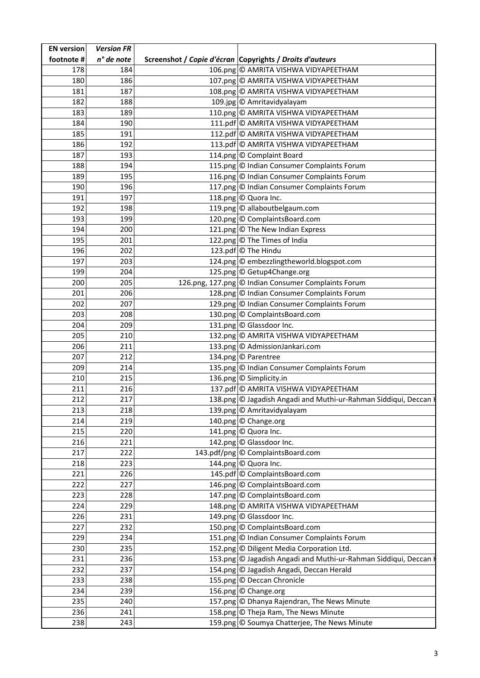| n° de note<br>Screenshot / Copie d'écran Copyrights / Droits d'auteurs<br>184<br>106.png © AMRITA VISHWA VIDYAPEETHAM<br>178<br>186<br>107.png © AMRITA VISHWA VIDYAPEETHAM<br>180<br>187<br>108.png © AMRITA VISHWA VIDYAPEETHAM<br>181<br>182<br>188<br>109.jpg © Amritavidyalayam<br>110.png © AMRITA VISHWA VIDYAPEETHAM<br>183<br>189<br>111.pdf © AMRITA VISHWA VIDYAPEETHAM<br>184<br>190<br>191<br>185<br>112.pdf © AMRITA VISHWA VIDYAPEETHAM<br>192<br>186<br>113.pdf © AMRITA VISHWA VIDYAPEETHAM<br>193<br>114.png © Complaint Board<br>187<br>115.png © Indian Consumer Complaints Forum<br>194<br>188<br>195<br>116.png © Indian Consumer Complaints Forum<br>189<br>196<br>117.png © Indian Consumer Complaints Forum<br>190<br>197<br>118.png © Quora Inc.<br>191<br>119.png © allaboutbelgaum.com<br>192<br>198<br>120.png © ComplaintsBoard.com<br>193<br>199<br>200<br>121.png © The New Indian Express<br>194<br>122.png © The Times of India<br>195<br>201<br>202<br>123.pdf © The Hindu<br>196<br>124.png © embezzlingtheworld.blogspot.com<br>197<br>203<br>125.png © Getup4Change.org<br>204<br>199<br>126.png, 127.png © Indian Consumer Complaints Forum<br>205<br>200<br>201<br>206<br>128.png © Indian Consumer Complaints Forum<br>202<br>207<br>129.png © Indian Consumer Complaints Forum<br>208<br>130.png © ComplaintsBoard.com<br>203<br>131.png © Glassdoor Inc.<br>209<br>204<br>132.png © AMRITA VISHWA VIDYAPEETHAM<br>205<br>210<br>133.png © AdmissionJankari.com<br>206<br>211<br>212<br>207<br>134.png © Parentree<br>214<br>135.png © Indian Consumer Complaints Forum<br>209<br>136.png © Simplicity.in<br>215<br>210<br>137.pdf © AMRITA VISHWA VIDYAPEETHAM<br>211<br>216<br>212<br>217<br>138.png © Jagadish Angadi and Muthi-ur-Rahman Siddiqui, Deccan H<br>218<br>139.png © Amritavidyalayam<br>213<br>219<br>140.png © Change.org<br>214<br>141.png © Quora Inc.<br>215<br>220<br>221<br>142.png © Glassdoor Inc.<br>216<br>143.pdf/png © ComplaintsBoard.com<br>222<br>217<br>223<br>144.png © Quora Inc.<br>218<br>226<br>145.pdf © ComplaintsBoard.com<br>221<br>146.png © ComplaintsBoard.com<br>222<br>227<br>223<br>228<br>147.png © ComplaintsBoard.com<br>229<br>224<br>148.png © AMRITA VISHWA VIDYAPEETHAM<br>149.png © Glassdoor Inc.<br>231<br>226<br>150.png © ComplaintsBoard.com<br>227<br>232<br>151.png © Indian Consumer Complaints Forum<br>234<br>229<br>235<br>152.png © Diligent Media Corporation Ltd.<br>230<br>236<br>153.png © Jagadish Angadi and Muthi-ur-Rahman Siddiqui, Deccan I<br>231<br>154.png © Jagadish Angadi, Deccan Herald<br>237<br>232<br>155.png © Deccan Chronicle<br>233<br>238<br>239<br>156.png © Change.org<br>234<br>157.png © Dhanya Rajendran, The News Minute<br>240<br>235<br>241<br>158.png © Theja Ram, The News Minute<br>236<br>159.png © Soumya Chatterjee, The News Minute<br>238<br>243 | <b>EN version</b> | <b>Version FR</b> |  |
|--------------------------------------------------------------------------------------------------------------------------------------------------------------------------------------------------------------------------------------------------------------------------------------------------------------------------------------------------------------------------------------------------------------------------------------------------------------------------------------------------------------------------------------------------------------------------------------------------------------------------------------------------------------------------------------------------------------------------------------------------------------------------------------------------------------------------------------------------------------------------------------------------------------------------------------------------------------------------------------------------------------------------------------------------------------------------------------------------------------------------------------------------------------------------------------------------------------------------------------------------------------------------------------------------------------------------------------------------------------------------------------------------------------------------------------------------------------------------------------------------------------------------------------------------------------------------------------------------------------------------------------------------------------------------------------------------------------------------------------------------------------------------------------------------------------------------------------------------------------------------------------------------------------------------------------------------------------------------------------------------------------------------------------------------------------------------------------------------------------------------------------------------------------------------------------------------------------------------------------------------------------------------------------------------------------------------------------------------------------------------------------------------------------------------------------------------------------------------------------------------------------------------------------------------------------------------------------------------------------------------------------------------------------------------------------------------------------------------------------------------------------------------------------------------------------------------------------------------------------------------------------------------------|-------------------|-------------------|--|
|                                                                                                                                                                                                                                                                                                                                                                                                                                                                                                                                                                                                                                                                                                                                                                                                                                                                                                                                                                                                                                                                                                                                                                                                                                                                                                                                                                                                                                                                                                                                                                                                                                                                                                                                                                                                                                                                                                                                                                                                                                                                                                                                                                                                                                                                                                                                                                                                                                                                                                                                                                                                                                                                                                                                                                                                                                                                                                        | footnote #        |                   |  |
|                                                                                                                                                                                                                                                                                                                                                                                                                                                                                                                                                                                                                                                                                                                                                                                                                                                                                                                                                                                                                                                                                                                                                                                                                                                                                                                                                                                                                                                                                                                                                                                                                                                                                                                                                                                                                                                                                                                                                                                                                                                                                                                                                                                                                                                                                                                                                                                                                                                                                                                                                                                                                                                                                                                                                                                                                                                                                                        |                   |                   |  |
|                                                                                                                                                                                                                                                                                                                                                                                                                                                                                                                                                                                                                                                                                                                                                                                                                                                                                                                                                                                                                                                                                                                                                                                                                                                                                                                                                                                                                                                                                                                                                                                                                                                                                                                                                                                                                                                                                                                                                                                                                                                                                                                                                                                                                                                                                                                                                                                                                                                                                                                                                                                                                                                                                                                                                                                                                                                                                                        |                   |                   |  |
|                                                                                                                                                                                                                                                                                                                                                                                                                                                                                                                                                                                                                                                                                                                                                                                                                                                                                                                                                                                                                                                                                                                                                                                                                                                                                                                                                                                                                                                                                                                                                                                                                                                                                                                                                                                                                                                                                                                                                                                                                                                                                                                                                                                                                                                                                                                                                                                                                                                                                                                                                                                                                                                                                                                                                                                                                                                                                                        |                   |                   |  |
|                                                                                                                                                                                                                                                                                                                                                                                                                                                                                                                                                                                                                                                                                                                                                                                                                                                                                                                                                                                                                                                                                                                                                                                                                                                                                                                                                                                                                                                                                                                                                                                                                                                                                                                                                                                                                                                                                                                                                                                                                                                                                                                                                                                                                                                                                                                                                                                                                                                                                                                                                                                                                                                                                                                                                                                                                                                                                                        |                   |                   |  |
|                                                                                                                                                                                                                                                                                                                                                                                                                                                                                                                                                                                                                                                                                                                                                                                                                                                                                                                                                                                                                                                                                                                                                                                                                                                                                                                                                                                                                                                                                                                                                                                                                                                                                                                                                                                                                                                                                                                                                                                                                                                                                                                                                                                                                                                                                                                                                                                                                                                                                                                                                                                                                                                                                                                                                                                                                                                                                                        |                   |                   |  |
|                                                                                                                                                                                                                                                                                                                                                                                                                                                                                                                                                                                                                                                                                                                                                                                                                                                                                                                                                                                                                                                                                                                                                                                                                                                                                                                                                                                                                                                                                                                                                                                                                                                                                                                                                                                                                                                                                                                                                                                                                                                                                                                                                                                                                                                                                                                                                                                                                                                                                                                                                                                                                                                                                                                                                                                                                                                                                                        |                   |                   |  |
|                                                                                                                                                                                                                                                                                                                                                                                                                                                                                                                                                                                                                                                                                                                                                                                                                                                                                                                                                                                                                                                                                                                                                                                                                                                                                                                                                                                                                                                                                                                                                                                                                                                                                                                                                                                                                                                                                                                                                                                                                                                                                                                                                                                                                                                                                                                                                                                                                                                                                                                                                                                                                                                                                                                                                                                                                                                                                                        |                   |                   |  |
|                                                                                                                                                                                                                                                                                                                                                                                                                                                                                                                                                                                                                                                                                                                                                                                                                                                                                                                                                                                                                                                                                                                                                                                                                                                                                                                                                                                                                                                                                                                                                                                                                                                                                                                                                                                                                                                                                                                                                                                                                                                                                                                                                                                                                                                                                                                                                                                                                                                                                                                                                                                                                                                                                                                                                                                                                                                                                                        |                   |                   |  |
|                                                                                                                                                                                                                                                                                                                                                                                                                                                                                                                                                                                                                                                                                                                                                                                                                                                                                                                                                                                                                                                                                                                                                                                                                                                                                                                                                                                                                                                                                                                                                                                                                                                                                                                                                                                                                                                                                                                                                                                                                                                                                                                                                                                                                                                                                                                                                                                                                                                                                                                                                                                                                                                                                                                                                                                                                                                                                                        |                   |                   |  |
|                                                                                                                                                                                                                                                                                                                                                                                                                                                                                                                                                                                                                                                                                                                                                                                                                                                                                                                                                                                                                                                                                                                                                                                                                                                                                                                                                                                                                                                                                                                                                                                                                                                                                                                                                                                                                                                                                                                                                                                                                                                                                                                                                                                                                                                                                                                                                                                                                                                                                                                                                                                                                                                                                                                                                                                                                                                                                                        |                   |                   |  |
|                                                                                                                                                                                                                                                                                                                                                                                                                                                                                                                                                                                                                                                                                                                                                                                                                                                                                                                                                                                                                                                                                                                                                                                                                                                                                                                                                                                                                                                                                                                                                                                                                                                                                                                                                                                                                                                                                                                                                                                                                                                                                                                                                                                                                                                                                                                                                                                                                                                                                                                                                                                                                                                                                                                                                                                                                                                                                                        |                   |                   |  |
|                                                                                                                                                                                                                                                                                                                                                                                                                                                                                                                                                                                                                                                                                                                                                                                                                                                                                                                                                                                                                                                                                                                                                                                                                                                                                                                                                                                                                                                                                                                                                                                                                                                                                                                                                                                                                                                                                                                                                                                                                                                                                                                                                                                                                                                                                                                                                                                                                                                                                                                                                                                                                                                                                                                                                                                                                                                                                                        |                   |                   |  |
|                                                                                                                                                                                                                                                                                                                                                                                                                                                                                                                                                                                                                                                                                                                                                                                                                                                                                                                                                                                                                                                                                                                                                                                                                                                                                                                                                                                                                                                                                                                                                                                                                                                                                                                                                                                                                                                                                                                                                                                                                                                                                                                                                                                                                                                                                                                                                                                                                                                                                                                                                                                                                                                                                                                                                                                                                                                                                                        |                   |                   |  |
|                                                                                                                                                                                                                                                                                                                                                                                                                                                                                                                                                                                                                                                                                                                                                                                                                                                                                                                                                                                                                                                                                                                                                                                                                                                                                                                                                                                                                                                                                                                                                                                                                                                                                                                                                                                                                                                                                                                                                                                                                                                                                                                                                                                                                                                                                                                                                                                                                                                                                                                                                                                                                                                                                                                                                                                                                                                                                                        |                   |                   |  |
|                                                                                                                                                                                                                                                                                                                                                                                                                                                                                                                                                                                                                                                                                                                                                                                                                                                                                                                                                                                                                                                                                                                                                                                                                                                                                                                                                                                                                                                                                                                                                                                                                                                                                                                                                                                                                                                                                                                                                                                                                                                                                                                                                                                                                                                                                                                                                                                                                                                                                                                                                                                                                                                                                                                                                                                                                                                                                                        |                   |                   |  |
|                                                                                                                                                                                                                                                                                                                                                                                                                                                                                                                                                                                                                                                                                                                                                                                                                                                                                                                                                                                                                                                                                                                                                                                                                                                                                                                                                                                                                                                                                                                                                                                                                                                                                                                                                                                                                                                                                                                                                                                                                                                                                                                                                                                                                                                                                                                                                                                                                                                                                                                                                                                                                                                                                                                                                                                                                                                                                                        |                   |                   |  |
|                                                                                                                                                                                                                                                                                                                                                                                                                                                                                                                                                                                                                                                                                                                                                                                                                                                                                                                                                                                                                                                                                                                                                                                                                                                                                                                                                                                                                                                                                                                                                                                                                                                                                                                                                                                                                                                                                                                                                                                                                                                                                                                                                                                                                                                                                                                                                                                                                                                                                                                                                                                                                                                                                                                                                                                                                                                                                                        |                   |                   |  |
|                                                                                                                                                                                                                                                                                                                                                                                                                                                                                                                                                                                                                                                                                                                                                                                                                                                                                                                                                                                                                                                                                                                                                                                                                                                                                                                                                                                                                                                                                                                                                                                                                                                                                                                                                                                                                                                                                                                                                                                                                                                                                                                                                                                                                                                                                                                                                                                                                                                                                                                                                                                                                                                                                                                                                                                                                                                                                                        |                   |                   |  |
|                                                                                                                                                                                                                                                                                                                                                                                                                                                                                                                                                                                                                                                                                                                                                                                                                                                                                                                                                                                                                                                                                                                                                                                                                                                                                                                                                                                                                                                                                                                                                                                                                                                                                                                                                                                                                                                                                                                                                                                                                                                                                                                                                                                                                                                                                                                                                                                                                                                                                                                                                                                                                                                                                                                                                                                                                                                                                                        |                   |                   |  |
|                                                                                                                                                                                                                                                                                                                                                                                                                                                                                                                                                                                                                                                                                                                                                                                                                                                                                                                                                                                                                                                                                                                                                                                                                                                                                                                                                                                                                                                                                                                                                                                                                                                                                                                                                                                                                                                                                                                                                                                                                                                                                                                                                                                                                                                                                                                                                                                                                                                                                                                                                                                                                                                                                                                                                                                                                                                                                                        |                   |                   |  |
|                                                                                                                                                                                                                                                                                                                                                                                                                                                                                                                                                                                                                                                                                                                                                                                                                                                                                                                                                                                                                                                                                                                                                                                                                                                                                                                                                                                                                                                                                                                                                                                                                                                                                                                                                                                                                                                                                                                                                                                                                                                                                                                                                                                                                                                                                                                                                                                                                                                                                                                                                                                                                                                                                                                                                                                                                                                                                                        |                   |                   |  |
|                                                                                                                                                                                                                                                                                                                                                                                                                                                                                                                                                                                                                                                                                                                                                                                                                                                                                                                                                                                                                                                                                                                                                                                                                                                                                                                                                                                                                                                                                                                                                                                                                                                                                                                                                                                                                                                                                                                                                                                                                                                                                                                                                                                                                                                                                                                                                                                                                                                                                                                                                                                                                                                                                                                                                                                                                                                                                                        |                   |                   |  |
|                                                                                                                                                                                                                                                                                                                                                                                                                                                                                                                                                                                                                                                                                                                                                                                                                                                                                                                                                                                                                                                                                                                                                                                                                                                                                                                                                                                                                                                                                                                                                                                                                                                                                                                                                                                                                                                                                                                                                                                                                                                                                                                                                                                                                                                                                                                                                                                                                                                                                                                                                                                                                                                                                                                                                                                                                                                                                                        |                   |                   |  |
|                                                                                                                                                                                                                                                                                                                                                                                                                                                                                                                                                                                                                                                                                                                                                                                                                                                                                                                                                                                                                                                                                                                                                                                                                                                                                                                                                                                                                                                                                                                                                                                                                                                                                                                                                                                                                                                                                                                                                                                                                                                                                                                                                                                                                                                                                                                                                                                                                                                                                                                                                                                                                                                                                                                                                                                                                                                                                                        |                   |                   |  |
|                                                                                                                                                                                                                                                                                                                                                                                                                                                                                                                                                                                                                                                                                                                                                                                                                                                                                                                                                                                                                                                                                                                                                                                                                                                                                                                                                                                                                                                                                                                                                                                                                                                                                                                                                                                                                                                                                                                                                                                                                                                                                                                                                                                                                                                                                                                                                                                                                                                                                                                                                                                                                                                                                                                                                                                                                                                                                                        |                   |                   |  |
|                                                                                                                                                                                                                                                                                                                                                                                                                                                                                                                                                                                                                                                                                                                                                                                                                                                                                                                                                                                                                                                                                                                                                                                                                                                                                                                                                                                                                                                                                                                                                                                                                                                                                                                                                                                                                                                                                                                                                                                                                                                                                                                                                                                                                                                                                                                                                                                                                                                                                                                                                                                                                                                                                                                                                                                                                                                                                                        |                   |                   |  |
|                                                                                                                                                                                                                                                                                                                                                                                                                                                                                                                                                                                                                                                                                                                                                                                                                                                                                                                                                                                                                                                                                                                                                                                                                                                                                                                                                                                                                                                                                                                                                                                                                                                                                                                                                                                                                                                                                                                                                                                                                                                                                                                                                                                                                                                                                                                                                                                                                                                                                                                                                                                                                                                                                                                                                                                                                                                                                                        |                   |                   |  |
|                                                                                                                                                                                                                                                                                                                                                                                                                                                                                                                                                                                                                                                                                                                                                                                                                                                                                                                                                                                                                                                                                                                                                                                                                                                                                                                                                                                                                                                                                                                                                                                                                                                                                                                                                                                                                                                                                                                                                                                                                                                                                                                                                                                                                                                                                                                                                                                                                                                                                                                                                                                                                                                                                                                                                                                                                                                                                                        |                   |                   |  |
|                                                                                                                                                                                                                                                                                                                                                                                                                                                                                                                                                                                                                                                                                                                                                                                                                                                                                                                                                                                                                                                                                                                                                                                                                                                                                                                                                                                                                                                                                                                                                                                                                                                                                                                                                                                                                                                                                                                                                                                                                                                                                                                                                                                                                                                                                                                                                                                                                                                                                                                                                                                                                                                                                                                                                                                                                                                                                                        |                   |                   |  |
|                                                                                                                                                                                                                                                                                                                                                                                                                                                                                                                                                                                                                                                                                                                                                                                                                                                                                                                                                                                                                                                                                                                                                                                                                                                                                                                                                                                                                                                                                                                                                                                                                                                                                                                                                                                                                                                                                                                                                                                                                                                                                                                                                                                                                                                                                                                                                                                                                                                                                                                                                                                                                                                                                                                                                                                                                                                                                                        |                   |                   |  |
|                                                                                                                                                                                                                                                                                                                                                                                                                                                                                                                                                                                                                                                                                                                                                                                                                                                                                                                                                                                                                                                                                                                                                                                                                                                                                                                                                                                                                                                                                                                                                                                                                                                                                                                                                                                                                                                                                                                                                                                                                                                                                                                                                                                                                                                                                                                                                                                                                                                                                                                                                                                                                                                                                                                                                                                                                                                                                                        |                   |                   |  |
|                                                                                                                                                                                                                                                                                                                                                                                                                                                                                                                                                                                                                                                                                                                                                                                                                                                                                                                                                                                                                                                                                                                                                                                                                                                                                                                                                                                                                                                                                                                                                                                                                                                                                                                                                                                                                                                                                                                                                                                                                                                                                                                                                                                                                                                                                                                                                                                                                                                                                                                                                                                                                                                                                                                                                                                                                                                                                                        |                   |                   |  |
|                                                                                                                                                                                                                                                                                                                                                                                                                                                                                                                                                                                                                                                                                                                                                                                                                                                                                                                                                                                                                                                                                                                                                                                                                                                                                                                                                                                                                                                                                                                                                                                                                                                                                                                                                                                                                                                                                                                                                                                                                                                                                                                                                                                                                                                                                                                                                                                                                                                                                                                                                                                                                                                                                                                                                                                                                                                                                                        |                   |                   |  |
|                                                                                                                                                                                                                                                                                                                                                                                                                                                                                                                                                                                                                                                                                                                                                                                                                                                                                                                                                                                                                                                                                                                                                                                                                                                                                                                                                                                                                                                                                                                                                                                                                                                                                                                                                                                                                                                                                                                                                                                                                                                                                                                                                                                                                                                                                                                                                                                                                                                                                                                                                                                                                                                                                                                                                                                                                                                                                                        |                   |                   |  |
|                                                                                                                                                                                                                                                                                                                                                                                                                                                                                                                                                                                                                                                                                                                                                                                                                                                                                                                                                                                                                                                                                                                                                                                                                                                                                                                                                                                                                                                                                                                                                                                                                                                                                                                                                                                                                                                                                                                                                                                                                                                                                                                                                                                                                                                                                                                                                                                                                                                                                                                                                                                                                                                                                                                                                                                                                                                                                                        |                   |                   |  |
|                                                                                                                                                                                                                                                                                                                                                                                                                                                                                                                                                                                                                                                                                                                                                                                                                                                                                                                                                                                                                                                                                                                                                                                                                                                                                                                                                                                                                                                                                                                                                                                                                                                                                                                                                                                                                                                                                                                                                                                                                                                                                                                                                                                                                                                                                                                                                                                                                                                                                                                                                                                                                                                                                                                                                                                                                                                                                                        |                   |                   |  |
|                                                                                                                                                                                                                                                                                                                                                                                                                                                                                                                                                                                                                                                                                                                                                                                                                                                                                                                                                                                                                                                                                                                                                                                                                                                                                                                                                                                                                                                                                                                                                                                                                                                                                                                                                                                                                                                                                                                                                                                                                                                                                                                                                                                                                                                                                                                                                                                                                                                                                                                                                                                                                                                                                                                                                                                                                                                                                                        |                   |                   |  |
|                                                                                                                                                                                                                                                                                                                                                                                                                                                                                                                                                                                                                                                                                                                                                                                                                                                                                                                                                                                                                                                                                                                                                                                                                                                                                                                                                                                                                                                                                                                                                                                                                                                                                                                                                                                                                                                                                                                                                                                                                                                                                                                                                                                                                                                                                                                                                                                                                                                                                                                                                                                                                                                                                                                                                                                                                                                                                                        |                   |                   |  |
|                                                                                                                                                                                                                                                                                                                                                                                                                                                                                                                                                                                                                                                                                                                                                                                                                                                                                                                                                                                                                                                                                                                                                                                                                                                                                                                                                                                                                                                                                                                                                                                                                                                                                                                                                                                                                                                                                                                                                                                                                                                                                                                                                                                                                                                                                                                                                                                                                                                                                                                                                                                                                                                                                                                                                                                                                                                                                                        |                   |                   |  |
|                                                                                                                                                                                                                                                                                                                                                                                                                                                                                                                                                                                                                                                                                                                                                                                                                                                                                                                                                                                                                                                                                                                                                                                                                                                                                                                                                                                                                                                                                                                                                                                                                                                                                                                                                                                                                                                                                                                                                                                                                                                                                                                                                                                                                                                                                                                                                                                                                                                                                                                                                                                                                                                                                                                                                                                                                                                                                                        |                   |                   |  |
|                                                                                                                                                                                                                                                                                                                                                                                                                                                                                                                                                                                                                                                                                                                                                                                                                                                                                                                                                                                                                                                                                                                                                                                                                                                                                                                                                                                                                                                                                                                                                                                                                                                                                                                                                                                                                                                                                                                                                                                                                                                                                                                                                                                                                                                                                                                                                                                                                                                                                                                                                                                                                                                                                                                                                                                                                                                                                                        |                   |                   |  |
|                                                                                                                                                                                                                                                                                                                                                                                                                                                                                                                                                                                                                                                                                                                                                                                                                                                                                                                                                                                                                                                                                                                                                                                                                                                                                                                                                                                                                                                                                                                                                                                                                                                                                                                                                                                                                                                                                                                                                                                                                                                                                                                                                                                                                                                                                                                                                                                                                                                                                                                                                                                                                                                                                                                                                                                                                                                                                                        |                   |                   |  |
|                                                                                                                                                                                                                                                                                                                                                                                                                                                                                                                                                                                                                                                                                                                                                                                                                                                                                                                                                                                                                                                                                                                                                                                                                                                                                                                                                                                                                                                                                                                                                                                                                                                                                                                                                                                                                                                                                                                                                                                                                                                                                                                                                                                                                                                                                                                                                                                                                                                                                                                                                                                                                                                                                                                                                                                                                                                                                                        |                   |                   |  |
|                                                                                                                                                                                                                                                                                                                                                                                                                                                                                                                                                                                                                                                                                                                                                                                                                                                                                                                                                                                                                                                                                                                                                                                                                                                                                                                                                                                                                                                                                                                                                                                                                                                                                                                                                                                                                                                                                                                                                                                                                                                                                                                                                                                                                                                                                                                                                                                                                                                                                                                                                                                                                                                                                                                                                                                                                                                                                                        |                   |                   |  |
|                                                                                                                                                                                                                                                                                                                                                                                                                                                                                                                                                                                                                                                                                                                                                                                                                                                                                                                                                                                                                                                                                                                                                                                                                                                                                                                                                                                                                                                                                                                                                                                                                                                                                                                                                                                                                                                                                                                                                                                                                                                                                                                                                                                                                                                                                                                                                                                                                                                                                                                                                                                                                                                                                                                                                                                                                                                                                                        |                   |                   |  |
|                                                                                                                                                                                                                                                                                                                                                                                                                                                                                                                                                                                                                                                                                                                                                                                                                                                                                                                                                                                                                                                                                                                                                                                                                                                                                                                                                                                                                                                                                                                                                                                                                                                                                                                                                                                                                                                                                                                                                                                                                                                                                                                                                                                                                                                                                                                                                                                                                                                                                                                                                                                                                                                                                                                                                                                                                                                                                                        |                   |                   |  |
|                                                                                                                                                                                                                                                                                                                                                                                                                                                                                                                                                                                                                                                                                                                                                                                                                                                                                                                                                                                                                                                                                                                                                                                                                                                                                                                                                                                                                                                                                                                                                                                                                                                                                                                                                                                                                                                                                                                                                                                                                                                                                                                                                                                                                                                                                                                                                                                                                                                                                                                                                                                                                                                                                                                                                                                                                                                                                                        |                   |                   |  |
|                                                                                                                                                                                                                                                                                                                                                                                                                                                                                                                                                                                                                                                                                                                                                                                                                                                                                                                                                                                                                                                                                                                                                                                                                                                                                                                                                                                                                                                                                                                                                                                                                                                                                                                                                                                                                                                                                                                                                                                                                                                                                                                                                                                                                                                                                                                                                                                                                                                                                                                                                                                                                                                                                                                                                                                                                                                                                                        |                   |                   |  |
|                                                                                                                                                                                                                                                                                                                                                                                                                                                                                                                                                                                                                                                                                                                                                                                                                                                                                                                                                                                                                                                                                                                                                                                                                                                                                                                                                                                                                                                                                                                                                                                                                                                                                                                                                                                                                                                                                                                                                                                                                                                                                                                                                                                                                                                                                                                                                                                                                                                                                                                                                                                                                                                                                                                                                                                                                                                                                                        |                   |                   |  |
|                                                                                                                                                                                                                                                                                                                                                                                                                                                                                                                                                                                                                                                                                                                                                                                                                                                                                                                                                                                                                                                                                                                                                                                                                                                                                                                                                                                                                                                                                                                                                                                                                                                                                                                                                                                                                                                                                                                                                                                                                                                                                                                                                                                                                                                                                                                                                                                                                                                                                                                                                                                                                                                                                                                                                                                                                                                                                                        |                   |                   |  |
|                                                                                                                                                                                                                                                                                                                                                                                                                                                                                                                                                                                                                                                                                                                                                                                                                                                                                                                                                                                                                                                                                                                                                                                                                                                                                                                                                                                                                                                                                                                                                                                                                                                                                                                                                                                                                                                                                                                                                                                                                                                                                                                                                                                                                                                                                                                                                                                                                                                                                                                                                                                                                                                                                                                                                                                                                                                                                                        |                   |                   |  |
|                                                                                                                                                                                                                                                                                                                                                                                                                                                                                                                                                                                                                                                                                                                                                                                                                                                                                                                                                                                                                                                                                                                                                                                                                                                                                                                                                                                                                                                                                                                                                                                                                                                                                                                                                                                                                                                                                                                                                                                                                                                                                                                                                                                                                                                                                                                                                                                                                                                                                                                                                                                                                                                                                                                                                                                                                                                                                                        |                   |                   |  |
|                                                                                                                                                                                                                                                                                                                                                                                                                                                                                                                                                                                                                                                                                                                                                                                                                                                                                                                                                                                                                                                                                                                                                                                                                                                                                                                                                                                                                                                                                                                                                                                                                                                                                                                                                                                                                                                                                                                                                                                                                                                                                                                                                                                                                                                                                                                                                                                                                                                                                                                                                                                                                                                                                                                                                                                                                                                                                                        |                   |                   |  |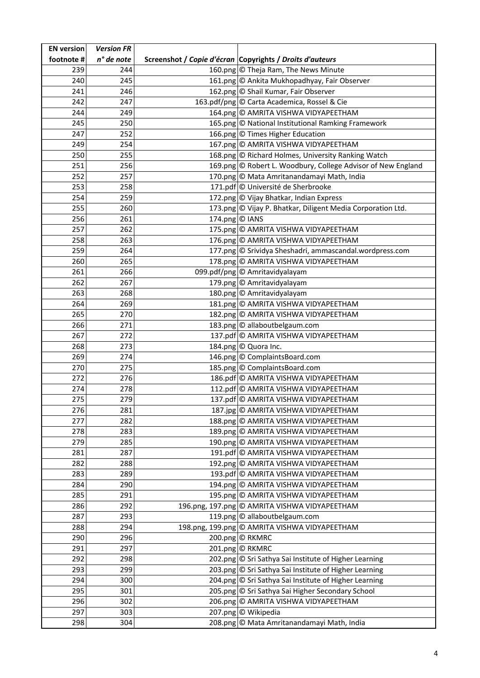| <b>EN</b> version | <b>Version FR</b> |                |                                                                              |
|-------------------|-------------------|----------------|------------------------------------------------------------------------------|
| footnote #        | n° de note        |                | Screenshot / Copie d'écran Copyrights / Droits d'auteurs                     |
| 239               | 244               |                | 160.png © Theja Ram, The News Minute                                         |
| 240               | 245               |                | 161.png © Ankita Mukhopadhyay, Fair Observer                                 |
| 241               | 246               |                | 162.png © Shail Kumar, Fair Observer                                         |
| 242               | 247               |                | 163.pdf/png © Carta Academica, Rossel & Cie                                  |
| 244               | 249               |                | 164.png © AMRITA VISHWA VIDYAPEETHAM                                         |
| 245               | 250               |                | 165.png © National Institutional Ramking Framework                           |
| 247               | 252               |                | 166.png © Times Higher Education                                             |
| 249               | 254               |                | 167.png © AMRITA VISHWA VIDYAPEETHAM                                         |
| 250               | 255               |                | 168.png © Richard Holmes, University Ranking Watch                           |
| 251               | 256               |                | 169.png © Robert L. Woodbury, College Advisor of New England                 |
| 252               | 257               |                | 170.png © Mata Amritanandamayi Math, India                                   |
| 253               | 258               |                | 171.pdf © Université de Sherbrooke                                           |
| 254               | 259               |                | 172.png © Vijay Bhatkar, Indian Express                                      |
| 255               | 260               |                | 173.png © Vijay P. Bhatkar, Diligent Media Corporation Ltd.                  |
| 256               | 261               | 174.png © IANS |                                                                              |
| 257               | 262               |                | 175.png © AMRITA VISHWA VIDYAPEETHAM                                         |
| 258               | 263               |                | 176.png © AMRITA VISHWA VIDYAPEETHAM                                         |
| 259               | 264               |                | 177.png © Srividya Sheshadri, ammascandal.wordpress.com                      |
| 260               | 265               |                | 178.png © AMRITA VISHWA VIDYAPEETHAM                                         |
| 261               | 266               |                | 099.pdf/png © Amritavidyalayam                                               |
| 262               | 267               |                | 179.png © Amritavidyalayam                                                   |
| 263               | 268               |                | 180.png © Amritavidyalayam                                                   |
| 264               | 269               |                | 181.png © AMRITA VISHWA VIDYAPEETHAM                                         |
| 265               | 270               |                | 182.png © AMRITA VISHWA VIDYAPEETHAM                                         |
| 266               | 271               |                | 183.png © allaboutbelgaum.com                                                |
| 267               | 272               |                | 137.pdf © AMRITA VISHWA VIDYAPEETHAM                                         |
| 268               | 273               |                | 184.png © Quora Inc.                                                         |
| 269               | 274               |                | 146.png © ComplaintsBoard.com                                                |
| 270               | 275               |                | 185.png © ComplaintsBoard.com                                                |
| 272               | 276               |                | 186.pdf © AMRITA VISHWA VIDYAPEETHAM                                         |
| 274               | 278               |                | 112.pdf © AMRITA VISHWA VIDYAPEETHAM                                         |
| 275               | 279               |                | 137.pdf © AMRITA VISHWA VIDYAPEETHAM                                         |
| 276               | 281               |                | 187.jpg © AMRITA VISHWA VIDYAPEETHAM                                         |
| 277               | 282               |                | 188.png © AMRITA VISHWA VIDYAPEETHAM                                         |
| 278               | 283               |                | 189.png © AMRITA VISHWA VIDYAPEETHAM                                         |
| 279               | 285               |                | 190.png © AMRITA VISHWA VIDYAPEETHAM                                         |
| 281               | 287               |                | 191.pdf © AMRITA VISHWA VIDYAPEETHAM                                         |
| 282<br>283        | 288<br>289        |                | 192.png © AMRITA VISHWA VIDYAPEETHAM<br>193.pdf © AMRITA VISHWA VIDYAPEETHAM |
| 284               | 290               |                | 194.png © AMRITA VISHWA VIDYAPEETHAM                                         |
| 285               | 291               |                | 195.png © AMRITA VISHWA VIDYAPEETHAM                                         |
| 286               | 292               |                | 196.png, 197.png © AMRITA VISHWA VIDYAPEETHAM                                |
| 287               | 293               |                | 119.png © allaboutbelgaum.com                                                |
| 288               | 294               |                | 198.png, 199.png © AMRITA VISHWA VIDYAPEETHAM                                |
| 290               | 296               |                | 200.png © RKMRC                                                              |
| 291               | 297               |                | 201.png © RKMRC                                                              |
| 292               | 298               |                | 202.png © Sri Sathya Sai Institute of Higher Learning                        |
| 293               | 299               |                | 203.png © Sri Sathya Sai Institute of Higher Learning                        |
| 294               | 300               |                | 204.png © Sri Sathya Sai Institute of Higher Learning                        |
| 295               | 301               |                | 205.png © Sri Sathya Sai Higher Secondary School                             |
| 296               | 302               |                | 206.png © AMRITA VISHWA VIDYAPEETHAM                                         |
| 297               | 303               |                | 207.png © Wikipedia                                                          |
| 298               | 304               |                | 208.png © Mata Amritanandamayi Math, India                                   |
|                   |                   |                |                                                                              |